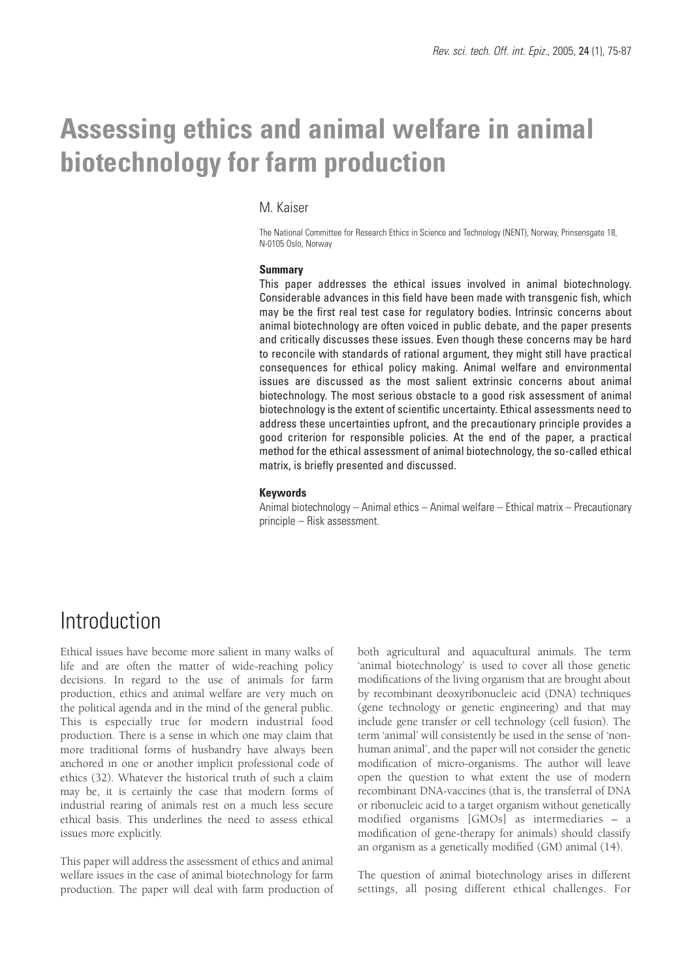# **Assessing ethics and animal welfare in animal biotechnology for farm production**

### M. Kaiser

The National Committee for Research Ethics in Science and Technology (NENT), Norway, Prinsensgate 18, N-0105 Oslo, Norway

#### **Summary**

This paper addresses the ethical issues involved in animal biotechnology. Considerable advances in this field have been made with transgenic fish, which may be the first real test case for regulatory bodies. Intrinsic concerns about animal biotechnology are often voiced in public debate, and the paper presents and critically discusses these issues. Even though these concerns may be hard to reconcile with standards of rational argument, they might still have practical consequences for ethical policy making. Animal welfare and environmental issues are discussed as the most salient extrinsic concerns about animal biotechnology. The most serious obstacle to a good risk assessment of animal biotechnology is the extent of scientific uncertainty. Ethical assessments need to address these uncertainties upfront, and the precautionary principle provides a good criterion for responsible policies. At the end of the paper, a practical method for the ethical assessment of animal biotechnology, the so-called ethical matrix, is briefly presented and discussed.

#### **Keywords**

Animal biotechnology – Animal ethics – Animal welfare – Ethical matrix – Precautionary principle – Risk assessment.

### Introduction

Ethical issues have become more salient in many walks of life and are often the matter of wide-reaching policy decisions. In regard to the use of animals for farm production, ethics and animal welfare are very much on the political agenda and in the mind of the general public. This is especially true for modern industrial food production. There is a sense in which one may claim that more traditional forms of husbandry have always been anchored in one or another implicit professional code of ethics (32). Whatever the historical truth of such a claim may be, it is certainly the case that modern forms of industrial rearing of animals rest on a much less secure ethical basis. This underlines the need to assess ethical issues more explicitly.

This paper will address the assessment of ethics and animal welfare issues in the case of animal biotechnology for farm production. The paper will deal with farm production of both agricultural and aquacultural animals. The term 'animal biotechnology' is used to cover all those genetic modifications of the living organism that are brought about by recombinant deoxyribonucleic acid (DNA) techniques (gene technology or genetic engineering) and that may include gene transfer or cell technology (cell fusion). The term 'animal' will consistently be used in the sense of 'nonhuman animal', and the paper will not consider the genetic modification of micro-organisms. The author will leave open the question to what extent the use of modern recombinant DNA-vaccines (that is, the transferral of DNA or ribonucleic acid to a target organism without genetically modified organisms [GMOs] as intermediaries – a modification of gene-therapy for animals) should classify an organism as a genetically modified (GM) animal (14).

The question of animal biotechnology arises in different settings, all posing different ethical challenges. For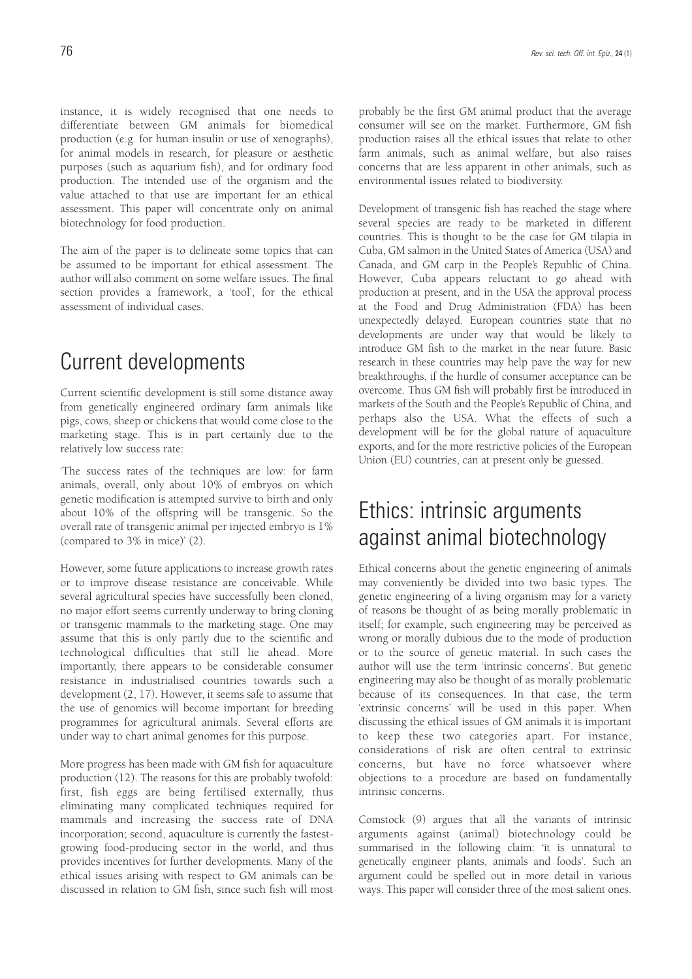instance, it is widely recognised that one needs to differentiate between GM animals for biomedical production (e.g. for human insulin or use of xenographs), for animal models in research, for pleasure or aesthetic purposes (such as aquarium fish), and for ordinary food production. The intended use of the organism and the value attached to that use are important for an ethical assessment. This paper will concentrate only on animal biotechnology for food production.

The aim of the paper is to delineate some topics that can be assumed to be important for ethical assessment. The author will also comment on some welfare issues. The final section provides a framework, a 'tool', for the ethical assessment of individual cases.

# Current developments

Current scientific development is still some distance away from genetically engineered ordinary farm animals like pigs, cows, sheep or chickens that would come close to the marketing stage. This is in part certainly due to the relatively low success rate:

'The success rates of the techniques are low: for farm animals, overall, only about 10% of embryos on which genetic modification is attempted survive to birth and only about 10% of the offspring will be transgenic. So the overall rate of transgenic animal per injected embryo is 1% (compared to 3% in mice)' (2).

However, some future applications to increase growth rates or to improve disease resistance are conceivable. While several agricultural species have successfully been cloned, no major effort seems currently underway to bring cloning or transgenic mammals to the marketing stage. One may assume that this is only partly due to the scientific and technological difficulties that still lie ahead. More importantly, there appears to be considerable consumer resistance in industrialised countries towards such a development (2, 17). However, it seems safe to assume that the use of genomics will become important for breeding programmes for agricultural animals. Several efforts are under way to chart animal genomes for this purpose.

More progress has been made with GM fish for aquaculture production (12). The reasons for this are probably twofold: first, fish eggs are being fertilised externally, thus eliminating many complicated techniques required for mammals and increasing the success rate of DNA incorporation; second, aquaculture is currently the fastestgrowing food-producing sector in the world, and thus provides incentives for further developments. Many of the ethical issues arising with respect to GM animals can be discussed in relation to GM fish, since such fish will most

probably be the first GM animal product that the average consumer will see on the market. Furthermore, GM fish production raises all the ethical issues that relate to other farm animals, such as animal welfare, but also raises concerns that are less apparent in other animals, such as environmental issues related to biodiversity.

Development of transgenic fish has reached the stage where several species are ready to be marketed in different countries. This is thought to be the case for GM tilapia in Cuba, GM salmon in the United States of America (USA) and Canada, and GM carp in the People's Republic of China. However, Cuba appears reluctant to go ahead with production at present, and in the USA the approval process at the Food and Drug Administration (FDA) has been unexpectedly delayed. European countries state that no developments are under way that would be likely to introduce GM fish to the market in the near future. Basic research in these countries may help pave the way for new breakthroughs, if the hurdle of consumer acceptance can be overcome. Thus GM fish will probably first be introduced in markets of the South and the People's Republic of China, and perhaps also the USA. What the effects of such a development will be for the global nature of aquaculture exports, and for the more restrictive policies of the European Union (EU) countries, can at present only be guessed.

# Ethics: intrinsic arguments against animal biotechnology

Ethical concerns about the genetic engineering of animals may conveniently be divided into two basic types. The genetic engineering of a living organism may for a variety of reasons be thought of as being morally problematic in itself; for example, such engineering may be perceived as wrong or morally dubious due to the mode of production or to the source of genetic material. In such cases the author will use the term 'intrinsic concerns'. But genetic engineering may also be thought of as morally problematic because of its consequences. In that case, the term 'extrinsic concerns' will be used in this paper. When discussing the ethical issues of GM animals it is important to keep these two categories apart. For instance, considerations of risk are often central to extrinsic concerns, but have no force whatsoever where objections to a procedure are based on fundamentally intrinsic concerns.

Comstock (9) argues that all the variants of intrinsic arguments against (animal) biotechnology could be summarised in the following claim: 'it is unnatural to genetically engineer plants, animals and foods'. Such an argument could be spelled out in more detail in various ways. This paper will consider three of the most salient ones.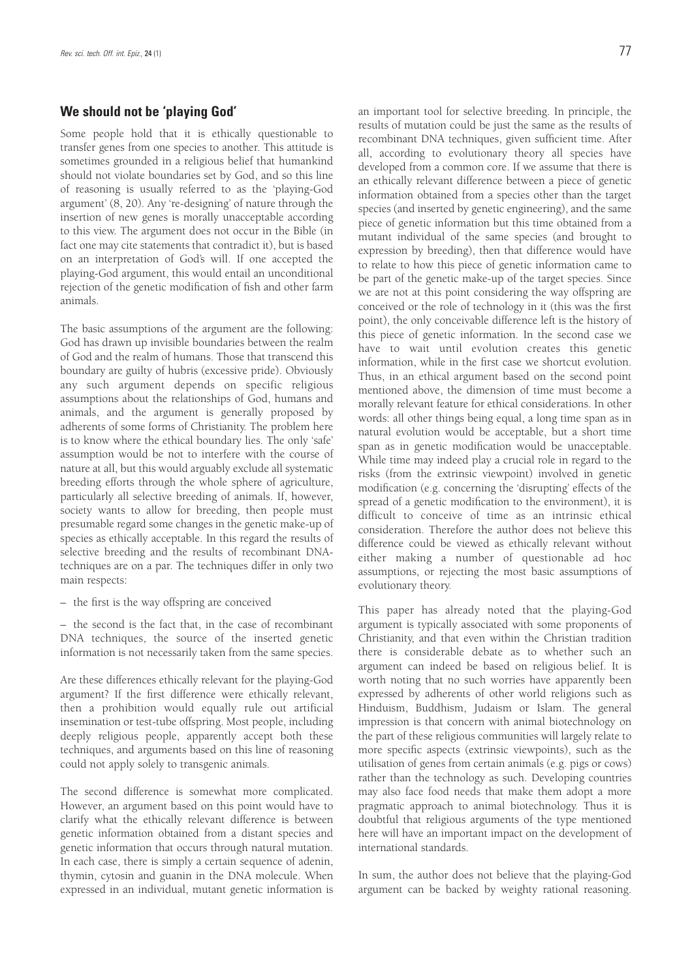### **We should not be 'playing God'**

Some people hold that it is ethically questionable to transfer genes from one species to another. This attitude is sometimes grounded in a religious belief that humankind should not violate boundaries set by God, and so this line of reasoning is usually referred to as the 'playing-God argument' (8, 20). Any 're-designing' of nature through the insertion of new genes is morally unacceptable according to this view. The argument does not occur in the Bible (in fact one may cite statements that contradict it), but is based on an interpretation of God's will. If one accepted the playing-God argument, this would entail an unconditional rejection of the genetic modification of fish and other farm animals.

The basic assumptions of the argument are the following: God has drawn up invisible boundaries between the realm of God and the realm of humans. Those that transcend this boundary are guilty of hubris (excessive pride). Obviously any such argument depends on specific religious assumptions about the relationships of God, humans and animals, and the argument is generally proposed by adherents of some forms of Christianity. The problem here is to know where the ethical boundary lies. The only 'safe' assumption would be not to interfere with the course of nature at all, but this would arguably exclude all systematic breeding efforts through the whole sphere of agriculture, particularly all selective breeding of animals. If, however, society wants to allow for breeding, then people must presumable regard some changes in the genetic make-up of species as ethically acceptable. In this regard the results of selective breeding and the results of recombinant DNAtechniques are on a par. The techniques differ in only two main respects:

– the first is the way offspring are conceived

– the second is the fact that, in the case of recombinant DNA techniques, the source of the inserted genetic information is not necessarily taken from the same species.

Are these differences ethically relevant for the playing-God argument? If the first difference were ethically relevant, then a prohibition would equally rule out artificial insemination or test-tube offspring. Most people, including deeply religious people, apparently accept both these techniques, and arguments based on this line of reasoning could not apply solely to transgenic animals.

The second difference is somewhat more complicated. However, an argument based on this point would have to clarify what the ethically relevant difference is between genetic information obtained from a distant species and genetic information that occurs through natural mutation. In each case, there is simply a certain sequence of adenin, thymin, cytosin and guanin in the DNA molecule. When expressed in an individual, mutant genetic information is an important tool for selective breeding. In principle, the results of mutation could be just the same as the results of recombinant DNA techniques, given sufficient time. After all, according to evolutionary theory all species have developed from a common core. If we assume that there is an ethically relevant difference between a piece of genetic information obtained from a species other than the target species (and inserted by genetic engineering), and the same piece of genetic information but this time obtained from a mutant individual of the same species (and brought to expression by breeding), then that difference would have to relate to how this piece of genetic information came to be part of the genetic make-up of the target species. Since we are not at this point considering the way offspring are conceived or the role of technology in it (this was the first point), the only conceivable difference left is the history of this piece of genetic information. In the second case we have to wait until evolution creates this genetic information, while in the first case we shortcut evolution. Thus, in an ethical argument based on the second point mentioned above, the dimension of time must become a morally relevant feature for ethical considerations. In other words: all other things being equal, a long time span as in natural evolution would be acceptable, but a short time span as in genetic modification would be unacceptable. While time may indeed play a crucial role in regard to the risks (from the extrinsic viewpoint) involved in genetic modification (e.g. concerning the 'disrupting' effects of the spread of a genetic modification to the environment), it is difficult to conceive of time as an intrinsic ethical consideration. Therefore the author does not believe this difference could be viewed as ethically relevant without either making a number of questionable ad hoc assumptions, or rejecting the most basic assumptions of evolutionary theory.

This paper has already noted that the playing-God argument is typically associated with some proponents of Christianity, and that even within the Christian tradition there is considerable debate as to whether such an argument can indeed be based on religious belief. It is worth noting that no such worries have apparently been expressed by adherents of other world religions such as Hinduism, Buddhism, Judaism or Islam. The general impression is that concern with animal biotechnology on the part of these religious communities will largely relate to more specific aspects (extrinsic viewpoints), such as the utilisation of genes from certain animals (e.g. pigs or cows) rather than the technology as such. Developing countries may also face food needs that make them adopt a more pragmatic approach to animal biotechnology. Thus it is doubtful that religious arguments of the type mentioned here will have an important impact on the development of international standards.

In sum, the author does not believe that the playing-God argument can be backed by weighty rational reasoning.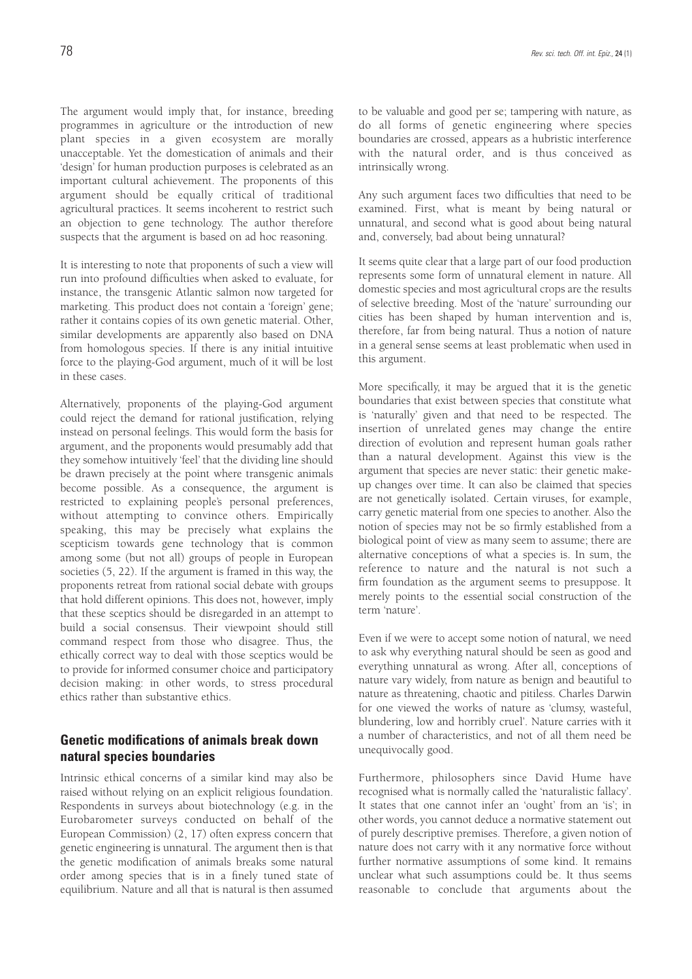The argument would imply that, for instance, breeding programmes in agriculture or the introduction of new plant species in a given ecosystem are morally unacceptable. Yet the domestication of animals and their 'design' for human production purposes is celebrated as an important cultural achievement. The proponents of this argument should be equally critical of traditional agricultural practices. It seems incoherent to restrict such an objection to gene technology. The author therefore suspects that the argument is based on ad hoc reasoning.

It is interesting to note that proponents of such a view will run into profound difficulties when asked to evaluate, for instance, the transgenic Atlantic salmon now targeted for marketing. This product does not contain a 'foreign' gene; rather it contains copies of its own genetic material. Other, similar developments are apparently also based on DNA from homologous species. If there is any initial intuitive force to the playing-God argument, much of it will be lost in these cases.

Alternatively, proponents of the playing-God argument could reject the demand for rational justification, relying instead on personal feelings. This would form the basis for argument, and the proponents would presumably add that they somehow intuitively 'feel' that the dividing line should be drawn precisely at the point where transgenic animals become possible. As a consequence, the argument is restricted to explaining people's personal preferences, without attempting to convince others. Empirically speaking, this may be precisely what explains the scepticism towards gene technology that is common among some (but not all) groups of people in European societies (5, 22). If the argument is framed in this way, the proponents retreat from rational social debate with groups that hold different opinions. This does not, however, imply that these sceptics should be disregarded in an attempt to build a social consensus. Their viewpoint should still command respect from those who disagree. Thus, the ethically correct way to deal with those sceptics would be to provide for informed consumer choice and participatory decision making: in other words, to stress procedural ethics rather than substantive ethics.

### **Genetic modifications of animals break down natural species boundaries**

Intrinsic ethical concerns of a similar kind may also be raised without relying on an explicit religious foundation. Respondents in surveys about biotechnology (e.g. in the Eurobarometer surveys conducted on behalf of the European Commission) (2, 17) often express concern that genetic engineering is unnatural. The argument then is that the genetic modification of animals breaks some natural order among species that is in a finely tuned state of equilibrium. Nature and all that is natural is then assumed

to be valuable and good per se; tampering with nature, as do all forms of genetic engineering where species boundaries are crossed, appears as a hubristic interference with the natural order, and is thus conceived as intrinsically wrong.

Any such argument faces two difficulties that need to be examined. First, what is meant by being natural or unnatural, and second what is good about being natural and, conversely, bad about being unnatural?

It seems quite clear that a large part of our food production represents some form of unnatural element in nature. All domestic species and most agricultural crops are the results of selective breeding. Most of the 'nature' surrounding our cities has been shaped by human intervention and is, therefore, far from being natural. Thus a notion of nature in a general sense seems at least problematic when used in this argument.

More specifically, it may be argued that it is the genetic boundaries that exist between species that constitute what is 'naturally' given and that need to be respected. The insertion of unrelated genes may change the entire direction of evolution and represent human goals rather than a natural development. Against this view is the argument that species are never static: their genetic makeup changes over time. It can also be claimed that species are not genetically isolated. Certain viruses, for example, carry genetic material from one species to another. Also the notion of species may not be so firmly established from a biological point of view as many seem to assume; there are alternative conceptions of what a species is. In sum, the reference to nature and the natural is not such a firm foundation as the argument seems to presuppose. It merely points to the essential social construction of the term 'nature'.

Even if we were to accept some notion of natural, we need to ask why everything natural should be seen as good and everything unnatural as wrong. After all, conceptions of nature vary widely, from nature as benign and beautiful to nature as threatening, chaotic and pitiless. Charles Darwin for one viewed the works of nature as 'clumsy, wasteful, blundering, low and horribly cruel'. Nature carries with it a number of characteristics, and not of all them need be unequivocally good.

Furthermore, philosophers since David Hume have recognised what is normally called the 'naturalistic fallacy'. It states that one cannot infer an 'ought' from an 'is'; in other words, you cannot deduce a normative statement out of purely descriptive premises. Therefore, a given notion of nature does not carry with it any normative force without further normative assumptions of some kind. It remains unclear what such assumptions could be. It thus seems reasonable to conclude that arguments about the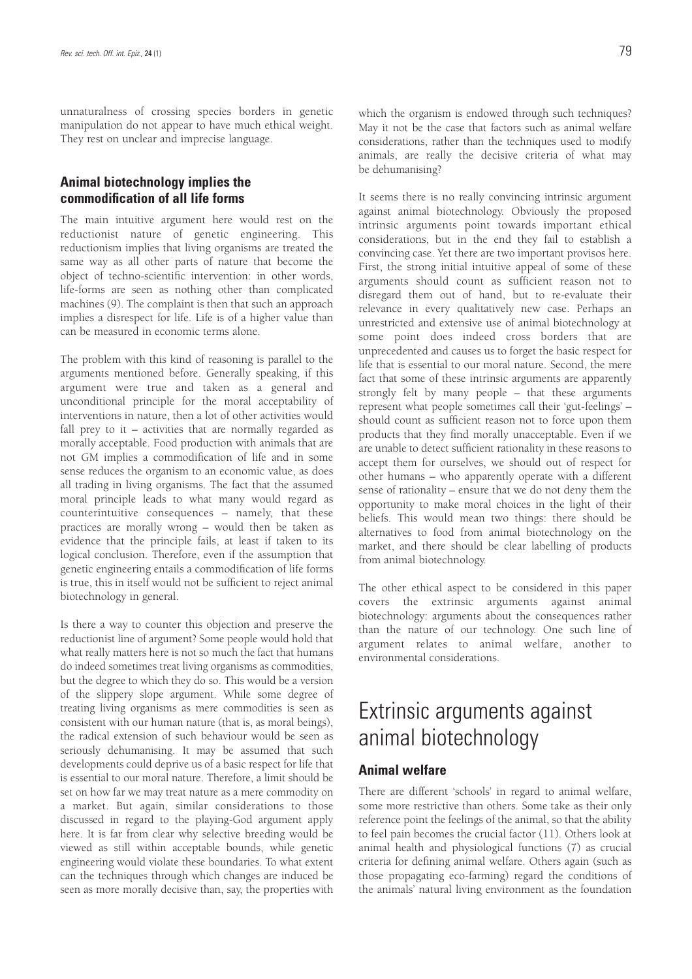unnaturalness of crossing species borders in genetic manipulation do not appear to have much ethical weight. They rest on unclear and imprecise language.

### **Animal biotechnology implies the commodification of all life forms**

The main intuitive argument here would rest on the reductionist nature of genetic engineering. This reductionism implies that living organisms are treated the same way as all other parts of nature that become the object of techno-scientific intervention: in other words, life-forms are seen as nothing other than complicated machines (9). The complaint is then that such an approach implies a disrespect for life. Life is of a higher value than can be measured in economic terms alone.

The problem with this kind of reasoning is parallel to the arguments mentioned before. Generally speaking, if this argument were true and taken as a general and unconditional principle for the moral acceptability of interventions in nature, then a lot of other activities would fall prey to it – activities that are normally regarded as morally acceptable. Food production with animals that are not GM implies a commodification of life and in some sense reduces the organism to an economic value, as does all trading in living organisms. The fact that the assumed moral principle leads to what many would regard as counterintuitive consequences – namely, that these practices are morally wrong – would then be taken as evidence that the principle fails, at least if taken to its logical conclusion. Therefore, even if the assumption that genetic engineering entails a commodification of life forms is true, this in itself would not be sufficient to reject animal biotechnology in general.

Is there a way to counter this objection and preserve the reductionist line of argument? Some people would hold that what really matters here is not so much the fact that humans do indeed sometimes treat living organisms as commodities, but the degree to which they do so. This would be a version of the slippery slope argument. While some degree of treating living organisms as mere commodities is seen as consistent with our human nature (that is, as moral beings), the radical extension of such behaviour would be seen as seriously dehumanising. It may be assumed that such developments could deprive us of a basic respect for life that is essential to our moral nature. Therefore, a limit should be set on how far we may treat nature as a mere commodity on a market. But again, similar considerations to those discussed in regard to the playing-God argument apply here. It is far from clear why selective breeding would be viewed as still within acceptable bounds, while genetic engineering would violate these boundaries. To what extent can the techniques through which changes are induced be seen as more morally decisive than, say, the properties with which the organism is endowed through such techniques? May it not be the case that factors such as animal welfare considerations, rather than the techniques used to modify animals, are really the decisive criteria of what may be dehumanising?

It seems there is no really convincing intrinsic argument against animal biotechnology. Obviously the proposed intrinsic arguments point towards important ethical considerations, but in the end they fail to establish a convincing case. Yet there are two important provisos here. First, the strong initial intuitive appeal of some of these arguments should count as sufficient reason not to disregard them out of hand, but to re-evaluate their relevance in every qualitatively new case. Perhaps an unrestricted and extensive use of animal biotechnology at some point does indeed cross borders that are unprecedented and causes us to forget the basic respect for life that is essential to our moral nature. Second, the mere fact that some of these intrinsic arguments are apparently strongly felt by many people – that these arguments represent what people sometimes call their 'gut-feelings' – should count as sufficient reason not to force upon them products that they find morally unacceptable. Even if we are unable to detect sufficient rationality in these reasons to accept them for ourselves, we should out of respect for other humans – who apparently operate with a different sense of rationality – ensure that we do not deny them the opportunity to make moral choices in the light of their beliefs. This would mean two things: there should be alternatives to food from animal biotechnology on the market, and there should be clear labelling of products from animal biotechnology.

The other ethical aspect to be considered in this paper covers the extrinsic arguments against animal biotechnology: arguments about the consequences rather than the nature of our technology. One such line of argument relates to animal welfare, another to environmental considerations.

# Extrinsic arguments against animal biotechnology

### **Animal welfare**

There are different 'schools' in regard to animal welfare, some more restrictive than others. Some take as their only reference point the feelings of the animal, so that the ability to feel pain becomes the crucial factor (11). Others look at animal health and physiological functions (7) as crucial criteria for defining animal welfare. Others again (such as those propagating eco-farming) regard the conditions of the animals' natural living environment as the foundation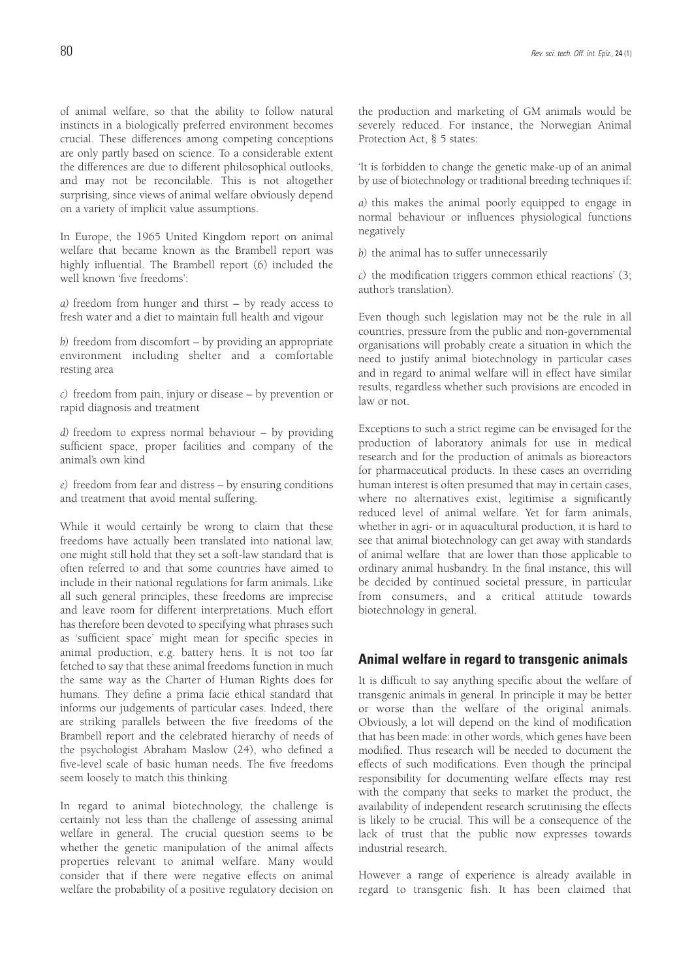of animal welfare, so that the ability to follow natural instincts in a biologically preferred environment becomes crucial. These differences among competing conceptions are only partly based on science. To a considerable extent the differences are due to different philosophical outlooks, and may not be reconcilable. This is not altogether surprising, since views of animal welfare obviously depend on a variety of implicit value assumptions.

In Europe, the 1965 United Kingdom report on animal welfare that became known as the Brambell report was highly influential. The Brambell report (6) included the well known 'five freedoms':

*a)* freedom from hunger and thirst – by ready access to fresh water and a diet to maintain full health and vigour

*b)* freedom from discomfort – by providing an appropriate environment including shelter and a comfortable resting area

*c)* freedom from pain, injury or disease – by prevention or rapid diagnosis and treatment

*d)* freedom to express normal behaviour – by providing sufficient space, proper facilities and company of the animal's own kind

*e)* freedom from fear and distress – by ensuring conditions and treatment that avoid mental suffering.

While it would certainly be wrong to claim that these freedoms have actually been translated into national law, one might still hold that they set a soft-law standard that is often referred to and that some countries have aimed to include in their national regulations for farm animals. Like all such general principles, these freedoms are imprecise and leave room for different interpretations. Much effort has therefore been devoted to specifying what phrases such as 'sufficient space' might mean for specific species in animal production, e.g. battery hens. It is not too far fetched to say that these animal freedoms function in much the same way as the Charter of Human Rights does for humans. They define a prima facie ethical standard that informs our judgements of particular cases. Indeed, there are striking parallels between the five freedoms of the Brambell report and the celebrated hierarchy of needs of the psychologist Abraham Maslow (24), who defined a five-level scale of basic human needs. The five freedoms seem loosely to match this thinking.

In regard to animal biotechnology, the challenge is certainly not less than the challenge of assessing animal welfare in general. The crucial question seems to be whether the genetic manipulation of the animal affects properties relevant to animal welfare. Many would consider that if there were negative effects on animal welfare the probability of a positive regulatory decision on the production and marketing of GM animals would be severely reduced. For instance, the Norwegian Animal Protection Act, § 5 states:

'It is forbidden to change the genetic make-up of an animal by use of biotechnology or traditional breeding techniques if:

*a)* this makes the animal poorly equipped to engage in normal behaviour or influences physiological functions negatively

*b)* the animal has to suffer unnecessarily

*c)* the modification triggers common ethical reactions' (3; author's translation).

Even though such legislation may not be the rule in all countries, pressure from the public and non-governmental organisations will probably create a situation in which the need to justify animal biotechnology in particular cases and in regard to animal welfare will in effect have similar results, regardless whether such provisions are encoded in law or not.

Exceptions to such a strict regime can be envisaged for the production of laboratory animals for use in medical research and for the production of animals as bioreactors for pharmaceutical products. In these cases an overriding human interest is often presumed that may in certain cases, where no alternatives exist, legitimise a significantly reduced level of animal welfare. Yet for farm animals, whether in agri- or in aquacultural production, it is hard to see that animal biotechnology can get away with standards of animal welfare that are lower than those applicable to ordinary animal husbandry. In the final instance, this will be decided by continued societal pressure, in particular from consumers, and a critical attitude towards biotechnology in general.

#### **Animal welfare in regard to transgenic animals**

It is difficult to say anything specific about the welfare of transgenic animals in general. In principle it may be better or worse than the welfare of the original animals. Obviously, a lot will depend on the kind of modification that has been made: in other words, which genes have been modified. Thus research will be needed to document the effects of such modifications. Even though the principal responsibility for documenting welfare effects may rest with the company that seeks to market the product, the availability of independent research scrutinising the effects is likely to be crucial. This will be a consequence of the lack of trust that the public now expresses towards industrial research.

However a range of experience is already available in regard to transgenic fish. It has been claimed that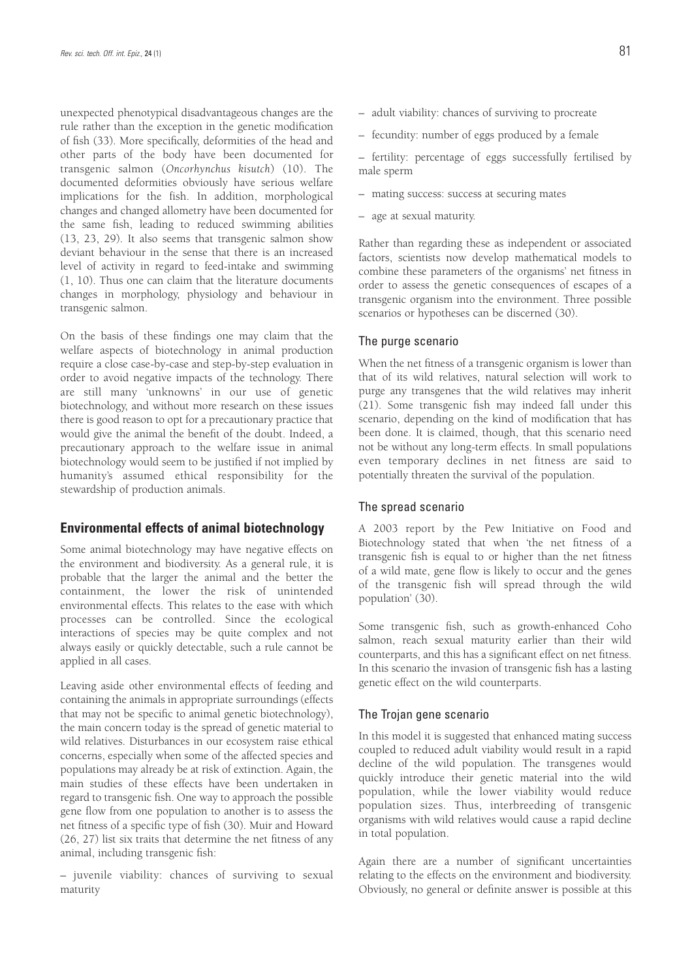unexpected phenotypical disadvantageous changes are the rule rather than the exception in the genetic modification of fish (33). More specifically, deformities of the head and other parts of the body have been documented for transgenic salmon (*Oncorhynchus kisutch*) (10). The documented deformities obviously have serious welfare implications for the fish. In addition, morphological changes and changed allometry have been documented for the same fish, leading to reduced swimming abilities (13, 23, 29). It also seems that transgenic salmon show deviant behaviour in the sense that there is an increased level of activity in regard to feed-intake and swimming (1, 10). Thus one can claim that the literature documents changes in morphology, physiology and behaviour in transgenic salmon.

On the basis of these findings one may claim that the welfare aspects of biotechnology in animal production require a close case-by-case and step-by-step evaluation in order to avoid negative impacts of the technology. There are still many 'unknowns' in our use of genetic biotechnology, and without more research on these issues there is good reason to opt for a precautionary practice that would give the animal the benefit of the doubt. Indeed, a precautionary approach to the welfare issue in animal biotechnology would seem to be justified if not implied by humanity's assumed ethical responsibility for the stewardship of production animals.

### **Environmental effects of animal biotechnology**

Some animal biotechnology may have negative effects on the environment and biodiversity. As a general rule, it is probable that the larger the animal and the better the containment, the lower the risk of unintended environmental effects. This relates to the ease with which processes can be controlled. Since the ecological interactions of species may be quite complex and not always easily or quickly detectable, such a rule cannot be applied in all cases.

Leaving aside other environmental effects of feeding and containing the animals in appropriate surroundings (effects that may not be specific to animal genetic biotechnology), the main concern today is the spread of genetic material to wild relatives. Disturbances in our ecosystem raise ethical concerns, especially when some of the affected species and populations may already be at risk of extinction. Again, the main studies of these effects have been undertaken in regard to transgenic fish. One way to approach the possible gene flow from one population to another is to assess the net fitness of a specific type of fish (30). Muir and Howard (26, 27) list six traits that determine the net fitness of any animal, including transgenic fish:

– juvenile viability: chances of surviving to sexual maturity

- adult viability: chances of surviving to procreate
- fecundity: number of eggs produced by a female

– fertility: percentage of eggs successfully fertilised by male sperm

- mating success: success at securing mates
- age at sexual maturity.

Rather than regarding these as independent or associated factors, scientists now develop mathematical models to combine these parameters of the organisms' net fitness in order to assess the genetic consequences of escapes of a transgenic organism into the environment. Three possible scenarios or hypotheses can be discerned (30).

#### The purge scenario

When the net fitness of a transgenic organism is lower than that of its wild relatives, natural selection will work to purge any transgenes that the wild relatives may inherit (21). Some transgenic fish may indeed fall under this scenario, depending on the kind of modification that has been done. It is claimed, though, that this scenario need not be without any long-term effects. In small populations even temporary declines in net fitness are said to potentially threaten the survival of the population.

#### The spread scenario

A 2003 report by the Pew Initiative on Food and Biotechnology stated that when 'the net fitness of a transgenic fish is equal to or higher than the net fitness of a wild mate, gene flow is likely to occur and the genes of the transgenic fish will spread through the wild population' (30).

Some transgenic fish, such as growth-enhanced Coho salmon, reach sexual maturity earlier than their wild counterparts, and this has a significant effect on net fitness. In this scenario the invasion of transgenic fish has a lasting genetic effect on the wild counterparts.

#### The Trojan gene scenario

In this model it is suggested that enhanced mating success coupled to reduced adult viability would result in a rapid decline of the wild population. The transgenes would quickly introduce their genetic material into the wild population, while the lower viability would reduce population sizes. Thus, interbreeding of transgenic organisms with wild relatives would cause a rapid decline in total population.

Again there are a number of significant uncertainties relating to the effects on the environment and biodiversity. Obviously, no general or definite answer is possible at this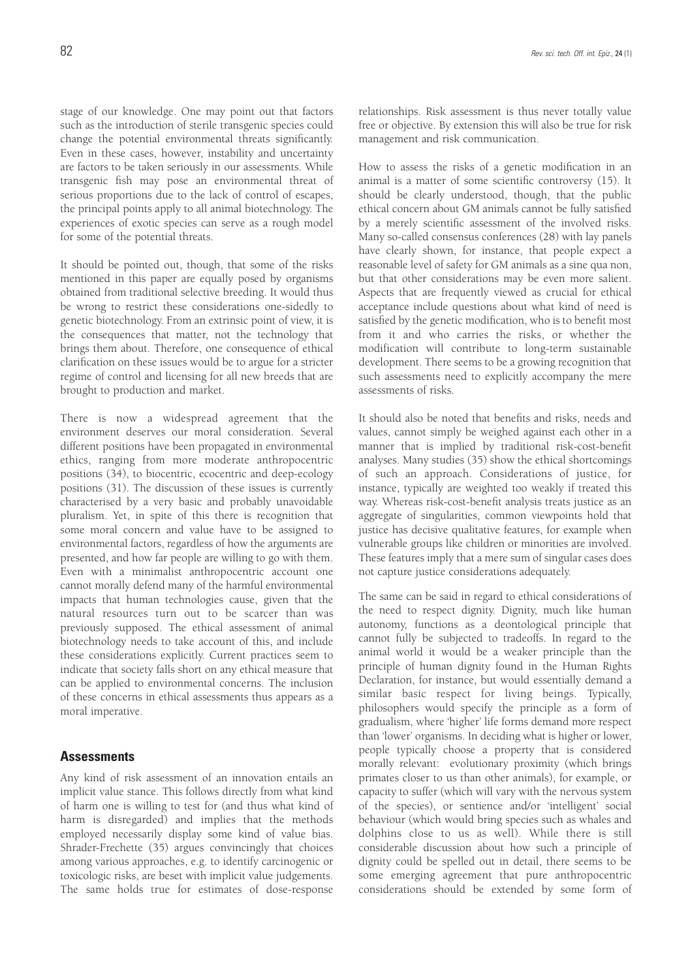stage of our knowledge. One may point out that factors such as the introduction of sterile transgenic species could change the potential environmental threats significantly. Even in these cases, however, instability and uncertainty are factors to be taken seriously in our assessments. While transgenic fish may pose an environmental threat of serious proportions due to the lack of control of escapes, the principal points apply to all animal biotechnology. The experiences of exotic species can serve as a rough model for some of the potential threats.

It should be pointed out, though, that some of the risks mentioned in this paper are equally posed by organisms obtained from traditional selective breeding. It would thus be wrong to restrict these considerations one-sidedly to genetic biotechnology. From an extrinsic point of view, it is the consequences that matter, not the technology that brings them about. Therefore, one consequence of ethical clarification on these issues would be to argue for a stricter regime of control and licensing for all new breeds that are brought to production and market.

There is now a widespread agreement that the environment deserves our moral consideration. Several different positions have been propagated in environmental ethics, ranging from more moderate anthropocentric positions (34), to biocentric, ecocentric and deep-ecology positions (31). The discussion of these issues is currently characterised by a very basic and probably unavoidable pluralism. Yet, in spite of this there is recognition that some moral concern and value have to be assigned to environmental factors, regardless of how the arguments are presented, and how far people are willing to go with them. Even with a minimalist anthropocentric account one cannot morally defend many of the harmful environmental impacts that human technologies cause, given that the natural resources turn out to be scarcer than was previously supposed. The ethical assessment of animal biotechnology needs to take account of this, and include these considerations explicitly. Current practices seem to indicate that society falls short on any ethical measure that can be applied to environmental concerns. The inclusion of these concerns in ethical assessments thus appears as a moral imperative.

### **Assessments**

Any kind of risk assessment of an innovation entails an implicit value stance. This follows directly from what kind of harm one is willing to test for (and thus what kind of harm is disregarded) and implies that the methods employed necessarily display some kind of value bias. Shrader-Frechette (35) argues convincingly that choices among various approaches, e.g. to identify carcinogenic or toxicologic risks, are beset with implicit value judgements. The same holds true for estimates of dose-response relationships. Risk assessment is thus never totally value free or objective. By extension this will also be true for risk management and risk communication.

How to assess the risks of a genetic modification in an animal is a matter of some scientific controversy (15). It should be clearly understood, though, that the public ethical concern about GM animals cannot be fully satisfied by a merely scientific assessment of the involved risks. Many so-called consensus conferences (28) with lay panels have clearly shown, for instance, that people expect a reasonable level of safety for GM animals as a sine qua non, but that other considerations may be even more salient. Aspects that are frequently viewed as crucial for ethical acceptance include questions about what kind of need is satisfied by the genetic modification, who is to benefit most from it and who carries the risks, or whether the modification will contribute to long-term sustainable development. There seems to be a growing recognition that such assessments need to explicitly accompany the mere assessments of risks.

It should also be noted that benefits and risks, needs and values, cannot simply be weighed against each other in a manner that is implied by traditional risk-cost-benefit analyses. Many studies (35) show the ethical shortcomings of such an approach. Considerations of justice, for instance, typically are weighted too weakly if treated this way. Whereas risk-cost-benefit analysis treats justice as an aggregate of singularities, common viewpoints hold that justice has decisive qualitative features, for example when vulnerable groups like children or minorities are involved. These features imply that a mere sum of singular cases does not capture justice considerations adequately.

The same can be said in regard to ethical considerations of the need to respect dignity. Dignity, much like human autonomy, functions as a deontological principle that cannot fully be subjected to tradeoffs. In regard to the animal world it would be a weaker principle than the principle of human dignity found in the Human Rights Declaration, for instance, but would essentially demand a similar basic respect for living beings. Typically, philosophers would specify the principle as a form of gradualism, where 'higher' life forms demand more respect than 'lower' organisms. In deciding what is higher or lower, people typically choose a property that is considered morally relevant: evolutionary proximity (which brings primates closer to us than other animals), for example, or capacity to suffer (which will vary with the nervous system of the species), or sentience and/or 'intelligent' social behaviour (which would bring species such as whales and dolphins close to us as well). While there is still considerable discussion about how such a principle of dignity could be spelled out in detail, there seems to be some emerging agreement that pure anthropocentric considerations should be extended by some form of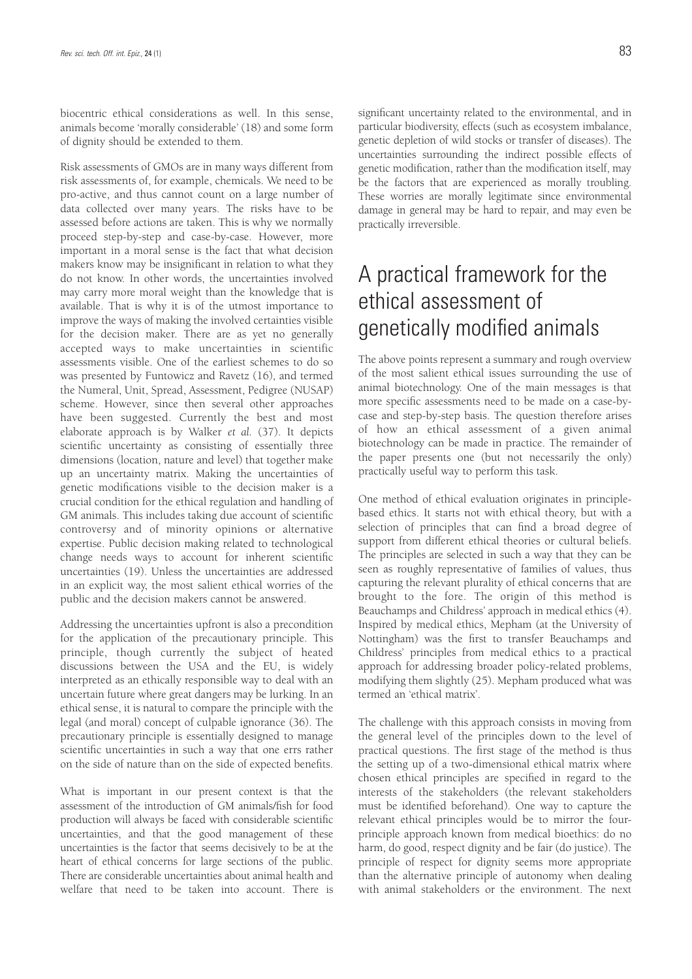biocentric ethical considerations as well. In this sense, animals become 'morally considerable' (18) and some form of dignity should be extended to them.

Risk assessments of GMOs are in many ways different from risk assessments of, for example, chemicals. We need to be pro-active, and thus cannot count on a large number of data collected over many years. The risks have to be assessed before actions are taken. This is why we normally proceed step-by-step and case-by-case. However, more important in a moral sense is the fact that what decision makers know may be insignificant in relation to what they do not know. In other words, the uncertainties involved may carry more moral weight than the knowledge that is available. That is why it is of the utmost importance to improve the ways of making the involved certainties visible for the decision maker. There are as yet no generally accepted ways to make uncertainties in scientific assessments visible. One of the earliest schemes to do so was presented by Funtowicz and Ravetz (16), and termed the Numeral, Unit, Spread, Assessment, Pedigree (NUSAP) scheme. However, since then several other approaches have been suggested. Currently the best and most elaborate approach is by Walker *et al.* (37). It depicts scientific uncertainty as consisting of essentially three dimensions (location, nature and level) that together make up an uncertainty matrix. Making the uncertainties of genetic modifications visible to the decision maker is a crucial condition for the ethical regulation and handling of GM animals. This includes taking due account of scientific controversy and of minority opinions or alternative expertise. Public decision making related to technological change needs ways to account for inherent scientific uncertainties (19). Unless the uncertainties are addressed in an explicit way, the most salient ethical worries of the public and the decision makers cannot be answered.

Addressing the uncertainties upfront is also a precondition for the application of the precautionary principle. This principle, though currently the subject of heated discussions between the USA and the EU, is widely interpreted as an ethically responsible way to deal with an uncertain future where great dangers may be lurking. In an ethical sense, it is natural to compare the principle with the legal (and moral) concept of culpable ignorance (36). The precautionary principle is essentially designed to manage scientific uncertainties in such a way that one errs rather on the side of nature than on the side of expected benefits.

What is important in our present context is that the assessment of the introduction of GM animals/fish for food production will always be faced with considerable scientific uncertainties, and that the good management of these uncertainties is the factor that seems decisively to be at the heart of ethical concerns for large sections of the public. There are considerable uncertainties about animal health and welfare that need to be taken into account. There is significant uncertainty related to the environmental, and in particular biodiversity, effects (such as ecosystem imbalance, genetic depletion of wild stocks or transfer of diseases). The uncertainties surrounding the indirect possible effects of genetic modification, rather than the modification itself, may be the factors that are experienced as morally troubling. These worries are morally legitimate since environmental damage in general may be hard to repair, and may even be practically irreversible.

# A practical framework for the ethical assessment of genetically modified animals

The above points represent a summary and rough overview of the most salient ethical issues surrounding the use of animal biotechnology. One of the main messages is that more specific assessments need to be made on a case-bycase and step-by-step basis. The question therefore arises of how an ethical assessment of a given animal biotechnology can be made in practice. The remainder of the paper presents one (but not necessarily the only) practically useful way to perform this task.

One method of ethical evaluation originates in principlebased ethics. It starts not with ethical theory, but with a selection of principles that can find a broad degree of support from different ethical theories or cultural beliefs. The principles are selected in such a way that they can be seen as roughly representative of families of values, thus capturing the relevant plurality of ethical concerns that are brought to the fore. The origin of this method is Beauchamps and Childress' approach in medical ethics (4). Inspired by medical ethics, Mepham (at the University of Nottingham) was the first to transfer Beauchamps and Childress' principles from medical ethics to a practical approach for addressing broader policy-related problems, modifying them slightly (25). Mepham produced what was termed an 'ethical matrix'.

The challenge with this approach consists in moving from the general level of the principles down to the level of practical questions. The first stage of the method is thus the setting up of a two-dimensional ethical matrix where chosen ethical principles are specified in regard to the interests of the stakeholders (the relevant stakeholders must be identified beforehand). One way to capture the relevant ethical principles would be to mirror the fourprinciple approach known from medical bioethics: do no harm, do good, respect dignity and be fair (do justice). The principle of respect for dignity seems more appropriate than the alternative principle of autonomy when dealing with animal stakeholders or the environment. The next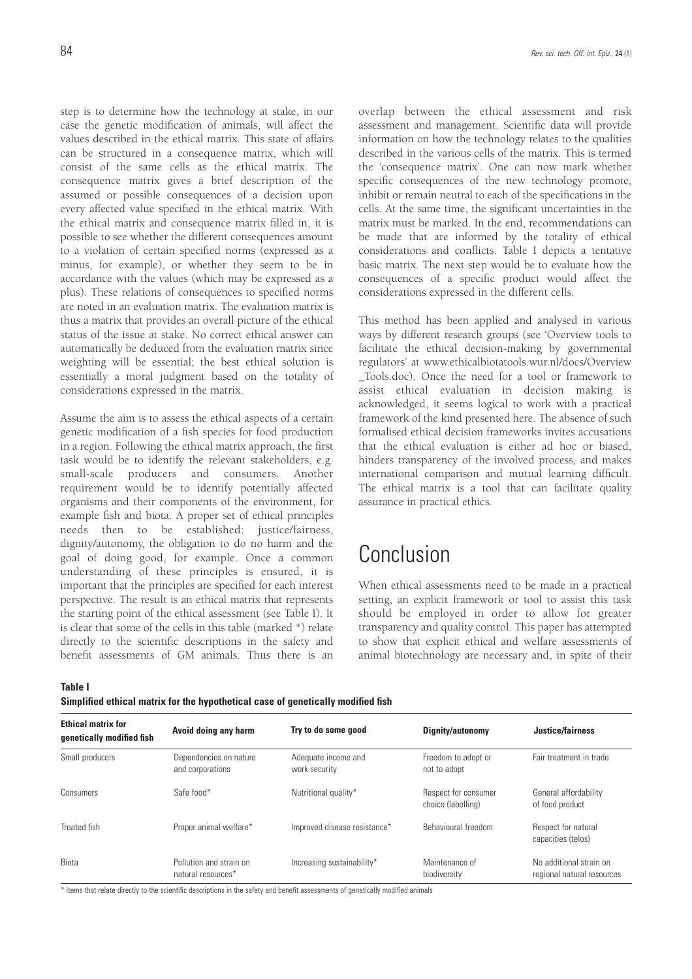step is to determine how the technology at stake, in our case the genetic modification of animals, will affect the values described in the ethical matrix. This state of affairs can be structured in a consequence matrix, which will consist of the same cells as the ethical matrix. The consequence matrix gives a brief description of the assumed or possible consequences of a decision upon every affected value specified in the ethical matrix. With the ethical matrix and consequence matrix filled in, it is possible to see whether the different consequences amount to a violation of certain specified norms (expressed as a minus, for example), or whether they seem to be in accordance with the values (which may be expressed as a plus). These relations of consequences to specified norms are noted in an evaluation matrix. The evaluation matrix is thus a matrix that provides an overall picture of the ethical status of the issue at stake. No correct ethical answer can automatically be deduced from the evaluation matrix since weighting will be essential; the best ethical solution is essentially a moral judgment based on the totality of considerations expressed in the matrix.

Assume the aim is to assess the ethical aspects of a certain genetic modification of a fish species for food production in a region. Following the ethical matrix approach, the first task would be to identify the relevant stakeholders, e.g. small-scale producers and consumers. Another requirement would be to identify potentially affected organisms and their components of the environment, for example fish and biota. A proper set of ethical principles needs then to be established: justice/fairness, dignity/autonomy, the obligation to do no harm and the goal of doing good, for example. Once a common understanding of these principles is ensured, it is important that the principles are specified for each interest perspective. The result is an ethical matrix that represents the starting point of the ethical assessment (see Table I). It is clear that some of the cells in this table (marked \*) relate directly to the scientific descriptions in the safety and benefit assessments of GM animals. Thus there is an

overlap between the ethical assessment and risk assessment and management. Scientific data will provide information on how the technology relates to the qualities described in the various cells of the matrix. This is termed the 'consequence matrix'. One can now mark whether specific consequences of the new technology promote, inhibit or remain neutral to each of the specifications in the cells. At the same time, the significant uncertainties in the matrix must be marked. In the end, recommendations can be made that are informed by the totality of ethical considerations and conflicts. Table I depicts a tentative basic matrix. The next step would be to evaluate how the consequences of a specific product would affect the considerations expressed in the different cells.

This method has been applied and analysed in various ways by different research groups (see 'Overview tools to facilitate the ethical decision-making by governmental regulators' at www.ethicalbiotatools.wur.nl/docs/Overview \_Tools.doc). Once the need for a tool or framework to assist ethical evaluation in decision making is acknowledged, it seems logical to work with a practical framework of the kind presented here. The absence of such formalised ethical decision frameworks invites accusations that the ethical evaluation is either ad hoc or biased, hinders transparency of the involved process, and makes international comparison and mutual learning difficult. The ethical matrix is a tool that can facilitate quality assurance in practical ethics.

# Conclusion

When ethical assessments need to be made in a practical setting, an explicit framework or tool to assist this task should be employed in order to allow for greater transparency and quality control. This paper has attempted to show that explicit ethical and welfare assessments of animal biotechnology are necessary and, in spite of their

**Table I**

| Simplified ethical matrix for the hypothetical case of genetically modified fish |  |  |
|----------------------------------------------------------------------------------|--|--|
|----------------------------------------------------------------------------------|--|--|

| <b>Ethical matrix for</b> | Avoid doing any harm                          | Try to do some good                  | Dignity/autonomy                           |                                                       |
|---------------------------|-----------------------------------------------|--------------------------------------|--------------------------------------------|-------------------------------------------------------|
| genetically modified fish |                                               |                                      |                                            | Justice/fairness                                      |
| Small producers           | Dependencies on nature<br>and corporations    | Adequate income and<br>work security | Freedom to adopt or<br>not to adopt        | Fair treatment in trade                               |
| Consumers                 | Safe food*                                    | Nutritional quality*                 | Respect for consumer<br>choice (labelling) | General affordability<br>of food product              |
| Treated fish              | Proper animal welfare*                        | Improved disease resistance*         | Behavioural freedom                        | Respect for natural<br>capacities (telos)             |
| Biota                     | Pollution and strain on<br>natural resources* | Increasing sustainability*           | Maintenance of<br>biodiversity             | No additional strain on<br>regional natural resources |

\* items that relate directly to the scientific descriptions in the safety and benefit assessments of genetically modified animals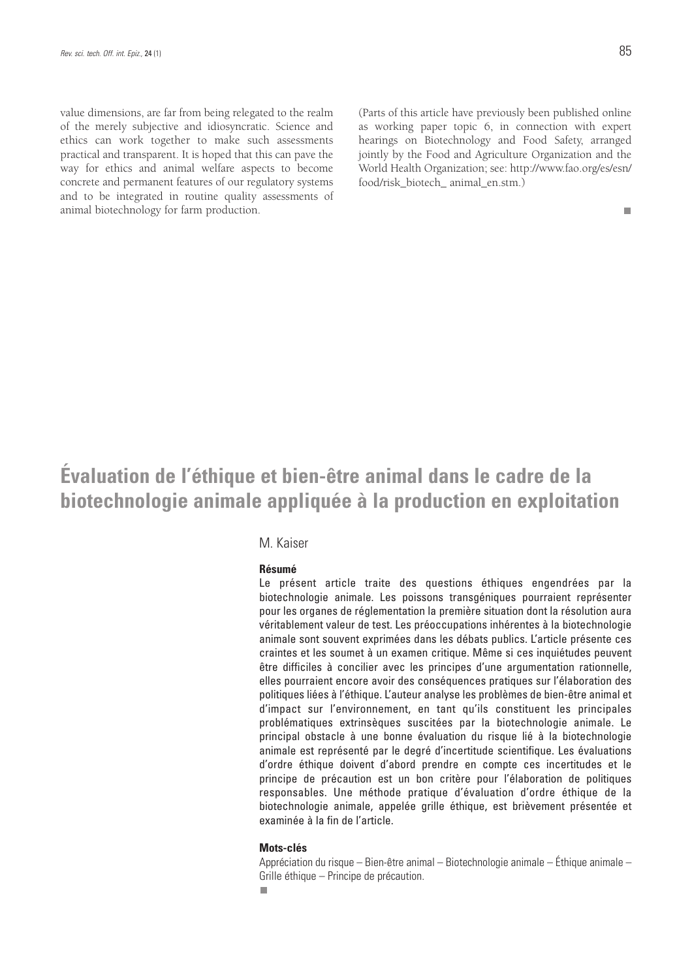value dimensions, are far from being relegated to the realm of the merely subjective and idiosyncratic. Science and ethics can work together to make such assessments practical and transparent. It is hoped that this can pave the way for ethics and animal welfare aspects to become concrete and permanent features of our regulatory systems and to be integrated in routine quality assessments of animal biotechnology for farm production.

(Parts of this article have previously been published online as working paper topic 6, in connection with expert hearings on Biotechnology and Food Safety, arranged jointly by the Food and Agriculture Organization and the World Health Organization; see: http://www.fao.org/es/esn/ food/risk\_biotech\_ animal\_en.stm.)

 $\overline{\phantom{a}}$ 

# **Évaluation de l'éthique et bien-être animal dans le cadre de la biotechnologie animale appliquée à la production en exploitation**

### M. Kaiser

#### **Résumé**

Le présent article traite des questions éthiques engendrées par la biotechnologie animale. Les poissons transgéniques pourraient représenter pour les organes de réglementation la première situation dont la résolution aura véritablement valeur de test. Les préoccupations inhérentes à la biotechnologie animale sont souvent exprimées dans les débats publics. L'article présente ces craintes et les soumet à un examen critique. Même si ces inquiétudes peuvent être difficiles à concilier avec les principes d'une argumentation rationnelle, elles pourraient encore avoir des conséquences pratiques sur l'élaboration des politiques liées à l'éthique. L'auteur analyse les problèmes de bien-être animal et d'impact sur l'environnement, en tant qu'ils constituent les principales problématiques extrinsèques suscitées par la biotechnologie animale. Le principal obstacle à une bonne évaluation du risque lié à la biotechnologie animale est représenté par le degré d'incertitude scientifique. Les évaluations d'ordre éthique doivent d'abord prendre en compte ces incertitudes et le principe de précaution est un bon critère pour l'élaboration de politiques responsables. Une méthode pratique d'évaluation d'ordre éthique de la biotechnologie animale, appelée grille éthique, est brièvement présentée et examinée à la fin de l'article.

#### **Mots-clés**

Appréciation du risque – Bien-être animal – Biotechnologie animale – Éthique animale – Grille éthique – Principe de précaution.

п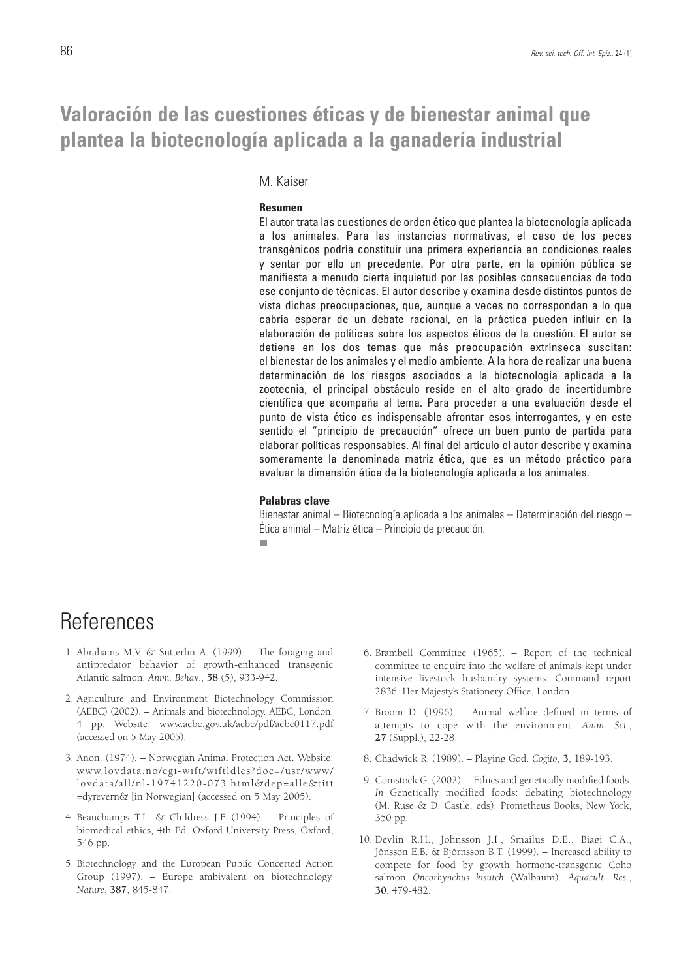## **Valoración de las cuestiones éticas y de bienestar animal que plantea la biotecnología aplicada a la ganadería industrial**

### M. Kaiser

#### **Resumen**

El autor trata las cuestiones de orden ético que plantea la biotecnología aplicada a los animales. Para las instancias normativas, el caso de los peces transgénicos podría constituir una primera experiencia en condiciones reales y sentar por ello un precedente. Por otra parte, en la opinión pública se manifiesta a menudo cierta inquietud por las posibles consecuencias de todo ese conjunto de técnicas. El autor describe y examina desde distintos puntos de vista dichas preocupaciones, que, aunque a veces no correspondan a lo que cabría esperar de un debate racional, en la práctica pueden influir en la elaboración de políticas sobre los aspectos éticos de la cuestión. El autor se detiene en los dos temas que más preocupación extrínseca suscitan: el bienestar de los animales y el medio ambiente. A la hora de realizar una buena determinación de los riesgos asociados a la biotecnología aplicada a la zootecnia, el principal obstáculo reside en el alto grado de incertidumbre científica que acompaña al tema. Para proceder a una evaluación desde el punto de vista ético es indispensable afrontar esos interrogantes, y en este sentido el "principio de precaución" ofrece un buen punto de partida para elaborar políticas responsables. Al final del artículo el autor describe y examina someramente la denominada matriz ética, que es un método práctico para evaluar la dimensión ética de la biotecnología aplicada a los animales.

#### **Palabras clave**

Bienestar animal – Biotecnología aplicada a los animales – Determinación del riesgo – Ética animal – Matriz ética – Principio de precaución.п

## **References**

- 1. Abrahams M.V. & Sutterlin A. (1999). The foraging and antipredator behavior of growth-enhanced transgenic Atlantic salmon. *Anim. Behav*., **58** (5), 933-942.
- 2. Agriculture and Environment Biotechnology Commission (AEBC) (2002). – Animals and biotechnology. AEBC, London, 4 pp. Website: www.aebc.gov.uk/aebc/pdf/aebc0117.pdf (accessed on 5 May 2005).
- 3. Anon. (1974). Norwegian Animal Protection Act. Website: www.lovdata.no/cgi-wift/wiftldles?doc=/usr/www/ lovdata/all/nl-19741220-073.html&dep=alle&titt =dyrevern& [in Norwegian] (accessed on 5 May 2005).
- 4. Beauchamps T.L. & Childress J.F. (1994). Principles of biomedical ethics, 4th Ed. Oxford University Press, Oxford, 546 pp.
- 5. Biotechnology and the European Public Concerted Action Group (1997). – Europe ambivalent on biotechnology. *Nature*, **387**, 845-847.
- 6. Brambell Committee (1965). Report of the technical committee to enquire into the welfare of animals kept under intensive livestock husbandry systems. Command report 2836. Her Majesty's Stationery Office, London.
- 7. Broom D. (1996). Animal welfare defined in terms of attempts to cope with the environment. *Anim. Sci.*, **27** (Suppl.), 22-28.
- 8. Chadwick R. (1989). Playing God. *Cogito*, **3**, 189-193.
- 9. Comstock G. (2002). Ethics and genetically modified foods. *In* Genetically modified foods: debating biotechnology (M. Ruse & D. Castle, eds). Prometheus Books, New York, 350 pp.
- 10. Devlin R.H., Johnsson J.I., Smailus D.E., Biagi C.A., Jönsson E.B. & Björnsson B.T. (1999). – Increased ability to compete for food by growth hormone-transgenic Coho salmon *Oncorhynchus kisutch* (Walbaum). *Aquacult. Res.*, **30**, 479-482.